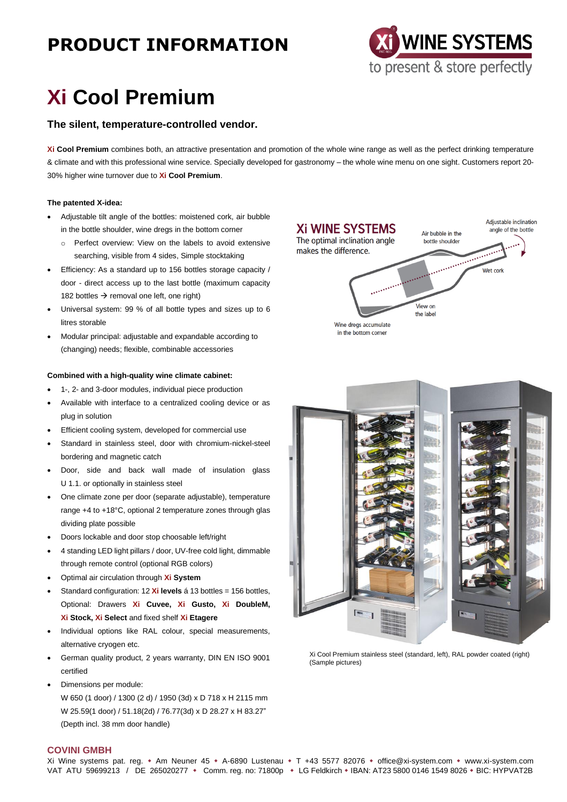## **PRODUCT INFORMATION**



# **Xi Cool Premium**

#### **The silent, temperature-controlled vendor.**

**Xi Cool Premium** combines both, an attractive presentation and promotion of the whole wine range as well as the perfect drinking temperature & climate and with this professional wine service. Specially developed for gastronomy – the whole wine menu on one sight. Customers report 20- 30% higher wine turnover due to **Xi Cool Premium**.

#### **The patented X-idea:**

- Adjustable tilt angle of the bottles: moistened cork, air bubble in the bottle shoulder, wine dregs in the bottom corner
	- o Perfect overview: View on the labels to avoid extensive searching, visible from 4 sides, Simple stocktaking
- Efficiency: As a standard up to 156 bottles storage capacity / door - direct access up to the last bottle (maximum capacity 182 bottles  $\rightarrow$  removal one left, one right)
- Universal system: 99 % of all bottle types and sizes up to 6 litres storable
- Modular principal: adjustable and expandable according to (changing) needs; flexible, combinable accessories

#### **Combined with a high-quality wine climate cabinet:**

- 1-, 2- and 3-door modules, individual piece production
- Available with interface to a centralized cooling device or as plug in solution
- Efficient cooling system, developed for commercial use
- Standard in stainless steel, door with chromium-nickel-steel bordering and magnetic catch
- Door, side and back wall made of insulation glass U 1.1. or optionally in stainless steel
- One climate zone per door (separate adjustable), temperature range +4 to +18°C, optional 2 temperature zones through glas dividing plate possible
- Doors lockable and door stop choosable left/right
- 4 standing LED light pillars / door, UV-free cold light, dimmable through remote control (optional RGB colors)
- Optimal air circulation through **Xi System**
- Standard configuration: 12 **Xi levels** á 13 bottles = 156 bottles, Optional: Drawers **Xi Cuvee, Xi Gusto, Xi DoubleM, Xi Stock, Xi Select** and fixed shelf **Xi Etagere**
- Individual options like RAL colour, special measurements, alternative cryogen etc.
- German quality product, 2 years warranty, DIN EN ISO 9001 certified
- Dimensions per module: W 650 (1 door) / 1300 (2 d) / 1950 (3d) x D 718 x H 2115 mm W 25.59(1 door) / 51.18(2d) / 76.77(3d) x D 28.27 x H 83.27" (Depth incl. 38 mm door handle)



Xi Cool Premium stainless steel (standard, left), RAL powder coated (right) (Sample pictures)

#### **COVINI GMBH**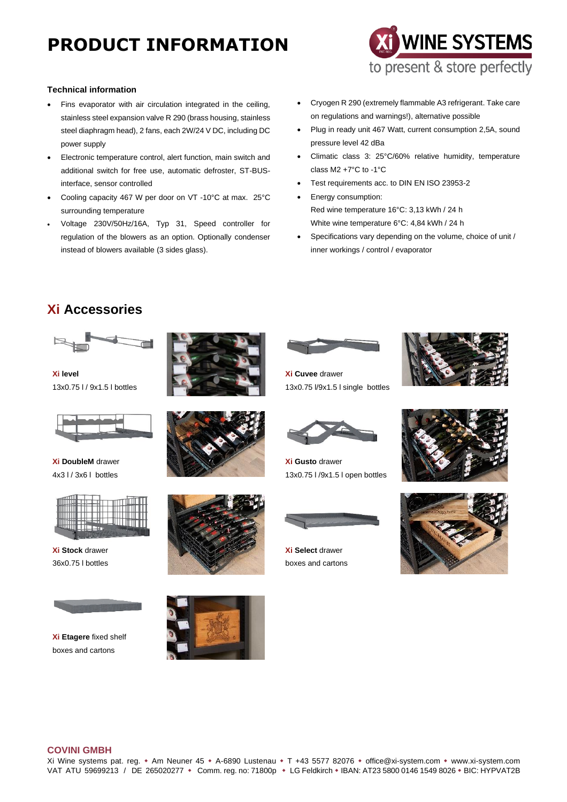## **PRODUCT INFORMATION**



#### **Technical information**

- Fins evaporator with air circulation integrated in the ceiling, stainless steel expansion valve R 290 (brass housing, stainless steel diaphragm head), 2 fans, each 2W/24 V DC, including DC power supply
- Electronic temperature control, alert function, main switch and additional switch for free use, automatic defroster, ST-BUSinterface, sensor controlled
- Cooling capacity 467 W per door on VT -10°C at max. 25°C surrounding temperature
- Voltage 230V/50Hz/16A, Typ 31, Speed controller for regulation of the blowers as an option. Optionally condenser instead of blowers available (3 sides glass).
- Cryogen R 290 (extremely flammable A3 refrigerant. Take care on regulations and warnings!), alternative possible
- Plug in ready unit 467 Watt, current consumption 2,5A, sound pressure level 42 dBa
- Climatic class 3: 25°C/60% relative humidity, temperature class M2 +7°C to -1°C
- Test requirements acc. to DIN EN ISO 23953-2
- Energy consumption: Red wine temperature 16°C: 3,13 kWh / 24 h White wine temperature 6°C: 4,84 kWh / 24 h
- Specifications vary depending on the volume, choice of unit / inner workings / control / evaporator

### **Xi Accessories**



**Xi level** 13x0.75 l / 9x1.5 l bottles



**Xi DoubleM** drawer 4x3 l / 3x6 l bottles



**Xi Stock** drawer 36x0.75 l bottles



**Xi Etagere** fixed shelf boxes and cartons











**Xi Cuvee** drawer 13x0.75 l/9x1.5 l single bottles





**Xi Gusto** drawer 13x0.75 l /9x1.5 l open bottles



**Xi Select** drawer boxes and cartons





#### **COVINI GMBH**